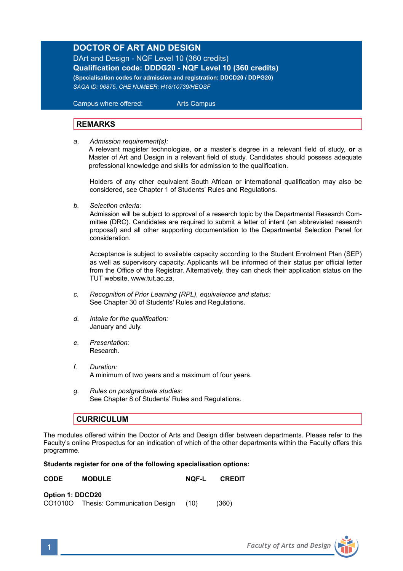## **DOCTOR OF ART AND DESIGN**

DArt and Design - NQF Level 10 (360 credits) **Qualification code: DDDG20 - NQF Level 10 (360 credits) (Specialisation codes for admission and registration: DDCD20 / DDPG20)** *SAQA ID: 96875, CHE NUMBER: H16/10739/HEQSF*

 Campus where offered: Arts Campus

## **REMARKS**

*a*. *Admission requirement(s):*

A relevant magister technologiae, **or** a master's degree in a relevant field of study, **or** a Master of Art and Design in a relevant field of study. Candidates should possess adequate professional knowledge and skills for admission to the qualification.

Holders of any other equivalent South African or international qualification may also be considered, see Chapter 1 of Students' Rules and Regulations.

*b. Selection criteria:*

Admission will be subject to approval of a research topic by the Departmental Research Committee (DRC). Candidates are required to submit a letter of intent (an abbreviated research proposal) and all other supporting documentation to the Departmental Selection Panel for consideration.

Acceptance is subject to available capacity according to the Student Enrolment Plan (SEP) as well as supervisory capacity. Applicants will be informed of their status per official letter from the Office of the Registrar. Alternatively, they can check their application status on the TUT website, www.tut.ac.za.

- *c. Recognition of Prior Learning (RPL), equivalence and status:* See Chapter 30 of Students' Rules and Regulations.
- *d. Intake for the qualification:* January and July.
- *e. Presentation:*  Research.
- *f. Duration:* A minimum of two years and a maximum of four years.
- *g. Rules on postgraduate studies:* See Chapter 8 of Students' Rules and Regulations.

## **CURRICULUM**

The modules offered within the Doctor of Arts and Design differ between departments. Please refer to the Faculty's online Prospectus for an indication of which of the other departments within the Faculty offers this programme.

## **Students register for one of the following specialisation options:**

| <b>CODE</b> | <b>MODULE</b> | <b>NQF-L</b> | <b>CREDIT</b> |
|-------------|---------------|--------------|---------------|
|             |               |              |               |

| Option 1: DDCD20 |                              |      |       |
|------------------|------------------------------|------|-------|
| CO1010O          | Thesis: Communication Design | (10) | (360) |